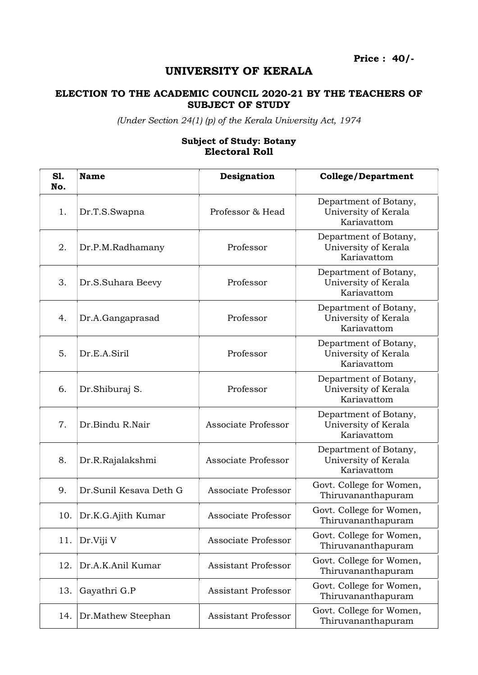Price : 40/-

## UNIVERSITY OF KERALA

## ELECTION TO THE ACADEMIC COUNCIL 2020-21 BY THE TEACHERS OF SUBJECT OF STUDY

(Under Section 24(1) (p) of the Kerala University Act, 1974

## Subject of Study: Botany Electoral Roll

| <b>S1.</b><br>No. | <b>Name</b>            | Designation                | <b>College/Department</b>                                    |
|-------------------|------------------------|----------------------------|--------------------------------------------------------------|
| 1.                | Dr.T.S.Swapna          | Professor & Head           | Department of Botany,<br>University of Kerala<br>Kariavattom |
| 2.                | Dr.P.M.Radhamany       | Professor                  | Department of Botany,<br>University of Kerala<br>Kariavattom |
| 3.                | Dr.S.Suhara Beevy      | Professor                  | Department of Botany,<br>University of Kerala<br>Kariavattom |
| 4.                | Dr.A.Gangaprasad       | Professor                  | Department of Botany,<br>University of Kerala<br>Kariavattom |
| 5.                | Dr.E.A.Siril           | Professor                  | Department of Botany,<br>University of Kerala<br>Kariavattom |
| 6.                | Dr.Shiburaj S.         | Professor                  | Department of Botany,<br>University of Kerala<br>Kariavattom |
| 7.                | Dr.Bindu R.Nair        | Associate Professor        | Department of Botany,<br>University of Kerala<br>Kariavattom |
| 8.                | Dr.R.Rajalakshmi       | Associate Professor        | Department of Botany,<br>University of Kerala<br>Kariavattom |
| 9.                | Dr.Sunil Kesava Deth G | Associate Professor        | Govt. College for Women,<br>Thiruvananthapuram               |
| 10.               | Dr.K.G.Ajith Kumar     | Associate Professor        | Govt. College for Women,<br>Thiruvananthapuram               |
| 11.               | Dr.Viji V              | Associate Professor        | Govt. College for Women,<br>Thiruvananthapuram               |
| 12.               | Dr.A.K.Anil Kumar      | <b>Assistant Professor</b> | Govt. College for Women,<br>Thiruvananthapuram               |
| 13.               | Gayathri G.P           | <b>Assistant Professor</b> | Govt. College for Women,<br>Thiruvananthapuram               |
| 14.               | Dr.Mathew Steephan     | <b>Assistant Professor</b> | Govt. College for Women,<br>Thiruvananthapuram               |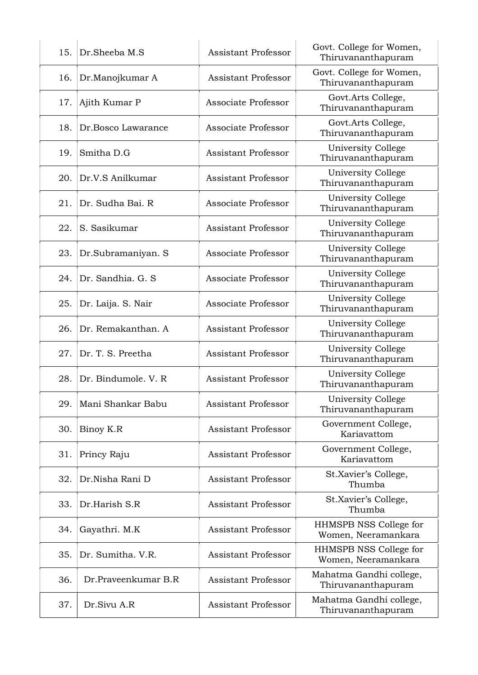| 15. | Dr.Sheeba M.S        | <b>Assistant Professor</b> | Govt. College for Women,<br>Thiruvananthapuram |
|-----|----------------------|----------------------------|------------------------------------------------|
| 16. | Dr.Manojkumar A      | <b>Assistant Professor</b> | Govt. College for Women,<br>Thiruvananthapuram |
| 17. | Ajith Kumar P        | Associate Professor        | Govt.Arts College,<br>Thiruvananthapuram       |
| 18. | Dr.Bosco Lawarance   | Associate Professor        | Govt.Arts College,<br>Thiruvananthapuram       |
| 19. | Smitha D.G           | <b>Assistant Professor</b> | University College<br>Thiruvananthapuram       |
| 20. | Dr.V.S Anilkumar     | <b>Assistant Professor</b> | University College<br>Thiruvananthapuram       |
| 21. | Dr. Sudha Bai. R     | Associate Professor        | University College<br>Thiruvananthapuram       |
| 22. | S. Sasikumar         | <b>Assistant Professor</b> | University College<br>Thiruvananthapuram       |
| 23. | Dr.Subramaniyan. S   | Associate Professor        | University College<br>Thiruvananthapuram       |
| 24. | Dr. Sandhia. G. S.   | Associate Professor        | University College<br>Thiruvananthapuram       |
| 25. | Dr. Laija. S. Nair   | Associate Professor        | University College<br>Thiruvananthapuram       |
| 26. | Dr. Remakanthan. A   | <b>Assistant Professor</b> | University College<br>Thiruvananthapuram       |
| 27. | Dr. T. S. Preetha    | <b>Assistant Professor</b> | University College<br>Thiruvananthapuram       |
| 28. | Dr. Bindumole, V. R. | <b>Assistant Professor</b> | University College<br>Thiruvananthapuram       |
| 29. | Mani Shankar Babu    | <b>Assistant Professor</b> | University College<br>Thiruvananthapuram       |
| 30. | Binoy K.R            | <b>Assistant Professor</b> | Government College,<br>Kariavattom             |
| 31. | Princy Raju          | <b>Assistant Professor</b> | Government College,<br>Kariavattom             |
| 32. | Dr.Nisha Rani D      | <b>Assistant Professor</b> | St.Xavier's College,<br>Thumba                 |
| 33. | Dr.Harish S.R        | <b>Assistant Professor</b> | St.Xavier's College,<br>Thumba                 |
| 34. | Gayathri. M.K        | <b>Assistant Professor</b> | HHMSPB NSS College for<br>Women, Neeramankara  |
| 35. | Dr. Sumitha. V.R.    | <b>Assistant Professor</b> | HHMSPB NSS College for<br>Women, Neeramankara  |
| 36. | Dr.Praveenkumar B.R  | Assistant Professor        | Mahatma Gandhi college,<br>Thiruvananthapuram  |
| 37. | Dr.Sivu A.R          | <b>Assistant Professor</b> | Mahatma Gandhi college,<br>Thiruvananthapuram  |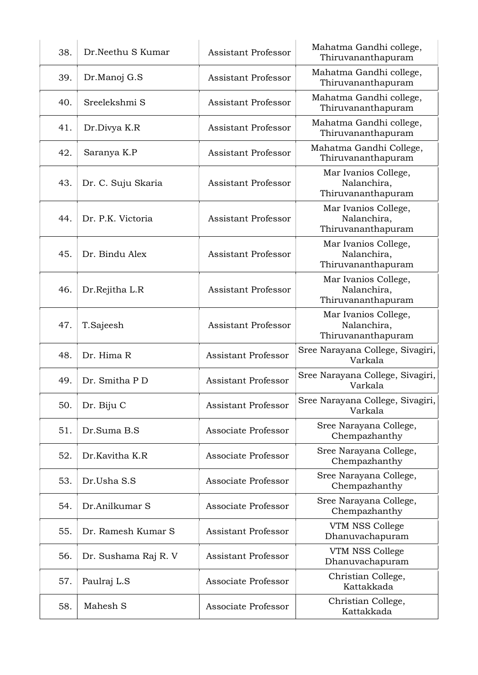| 38. | Dr.Neethu S Kumar    | <b>Assistant Professor</b> | Mahatma Gandhi college,<br>Thiruvananthapuram             |
|-----|----------------------|----------------------------|-----------------------------------------------------------|
| 39. | Dr.Manoj G.S         | <b>Assistant Professor</b> | Mahatma Gandhi college,<br>Thiruvananthapuram             |
| 40. | Sreelekshmi S        | <b>Assistant Professor</b> | Mahatma Gandhi college,<br>Thiruvananthapuram             |
| 41. | Dr.Divya K.R         | <b>Assistant Professor</b> | Mahatma Gandhi college,<br>Thiruvananthapuram             |
| 42. | Saranya K.P          | <b>Assistant Professor</b> | Mahatma Gandhi College,<br>Thiruvananthapuram             |
| 43. | Dr. C. Suju Skaria   | <b>Assistant Professor</b> | Mar Ivanios College,<br>Nalanchira,<br>Thiruvananthapuram |
| 44. | Dr. P.K. Victoria    | <b>Assistant Professor</b> | Mar Ivanios College,<br>Nalanchira,<br>Thiruvananthapuram |
| 45. | Dr. Bindu Alex       | <b>Assistant Professor</b> | Mar Ivanios College,<br>Nalanchira,<br>Thiruvananthapuram |
| 46. | Dr.Rejitha L.R       | <b>Assistant Professor</b> | Mar Ivanios College,<br>Nalanchira,<br>Thiruvananthapuram |
| 47. | T.Sajeesh            | <b>Assistant Professor</b> | Mar Ivanios College,<br>Nalanchira,<br>Thiruvananthapuram |
| 48. | Dr. Hima R           | <b>Assistant Professor</b> | Sree Narayana College, Sivagiri,<br>Varkala               |
| 49. | Dr. Smitha P D       | <b>Assistant Professor</b> | Sree Narayana College, Sivagiri,<br>Varkala               |
| 50. | Dr. Biju C           | <b>Assistant Professor</b> | Sree Narayana College, Sivagiri,<br>Varkala               |
| 51. | Dr.Suma B.S          | Associate Professor        | Sree Narayana College,<br>Chempazhanthy                   |
| 52. | Dr.Kavitha K.R       | Associate Professor        | Sree Narayana College,<br>Chempazhanthy                   |
| 53. | Dr.Usha S.S          | Associate Professor        | Sree Narayana College,<br>Chempazhanthy                   |
| 54. | Dr.Anilkumar S       | Associate Professor        | Sree Narayana College,<br>Chempazhanthy                   |
| 55. | Dr. Ramesh Kumar S   | <b>Assistant Professor</b> | VTM NSS College<br>Dhanuvachapuram                        |
| 56. | Dr. Sushama Raj R. V | <b>Assistant Professor</b> | VTM NSS College<br>Dhanuvachapuram                        |
| 57. | Paulraj L.S          | Associate Professor        | Christian College,<br>Kattakkada                          |
| 58. | Mahesh S             | Associate Professor        | Christian College,<br>Kattakkada                          |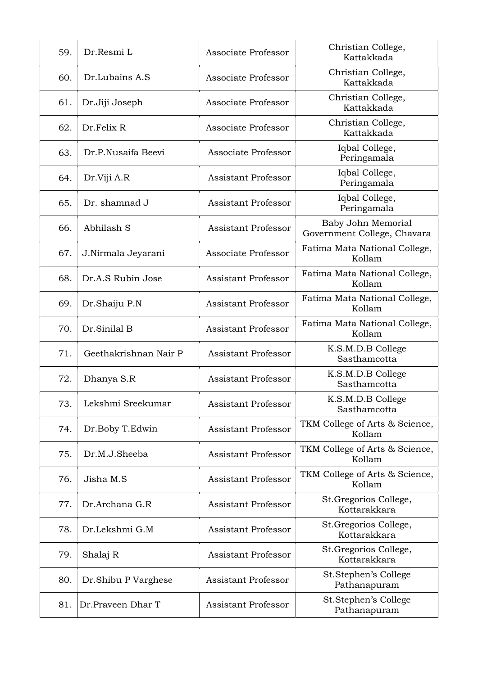| 59. | Dr.Resmi L            | Associate Professor        | Christian College,<br>Kattakkada                  |
|-----|-----------------------|----------------------------|---------------------------------------------------|
| 60. | Dr.Lubains A.S        | Associate Professor        | Christian College,<br>Kattakkada                  |
| 61. | Dr.Jiji Joseph        | Associate Professor        | Christian College,<br>Kattakkada                  |
| 62. | Dr.Felix R            | Associate Professor        | Christian College,<br>Kattakkada                  |
| 63. | Dr.P.Nusaifa Beevi    | Associate Professor        | Iqbal College,<br>Peringamala                     |
| 64. | Dr.Viji A.R           | <b>Assistant Professor</b> | Iqbal College,<br>Peringamala                     |
| 65. | Dr. shamnad J         | <b>Assistant Professor</b> | Iqbal College,<br>Peringamala                     |
| 66. | Abhilash S            | <b>Assistant Professor</b> | Baby John Memorial<br>Government College, Chavara |
| 67. | J.Nirmala Jeyarani    | Associate Professor        | Fatima Mata National College,<br>Kollam           |
| 68. | Dr.A.S Rubin Jose     | <b>Assistant Professor</b> | Fatima Mata National College,<br>Kollam           |
| 69. | Dr.Shaiju P.N         | <b>Assistant Professor</b> | Fatima Mata National College,<br>Kollam           |
| 70. | Dr.Sinilal B          | <b>Assistant Professor</b> | Fatima Mata National College,<br>Kollam           |
| 71. | Geethakrishnan Nair P | <b>Assistant Professor</b> | K.S.M.D.B College<br>Sasthamcotta                 |
| 72. | Dhanya S.R            | <b>Assistant Professor</b> | K.S.M.D.B College<br>Sasthamcotta                 |
| 73. | Lekshmi Sreekumar     | <b>Assistant Professor</b> | K.S.M.D.B College<br>Sasthamcotta                 |
| 74. | Dr.Boby T.Edwin       | <b>Assistant Professor</b> | TKM College of Arts & Science,<br>Kollam          |
| 75. | Dr.M.J.Sheeba         | <b>Assistant Professor</b> | TKM College of Arts & Science,<br>Kollam          |
| 76. | Jisha M.S             | <b>Assistant Professor</b> | TKM College of Arts & Science,<br>Kollam          |
| 77. | Dr.Archana G.R        | <b>Assistant Professor</b> | St.Gregorios College,<br>Kottarakkara             |
| 78. | Dr.Lekshmi G.M        | <b>Assistant Professor</b> | St. Gregorios College,<br>Kottarakkara            |
| 79. | Shalaj R              | <b>Assistant Professor</b> | St.Gregorios College,<br>Kottarakkara             |
| 80. | Dr. Shibu P Varghese  | <b>Assistant Professor</b> | St.Stephen's College<br>Pathanapuram              |
| 81. | Dr.Praveen Dhar T     | <b>Assistant Professor</b> | St.Stephen's College<br>Pathanapuram              |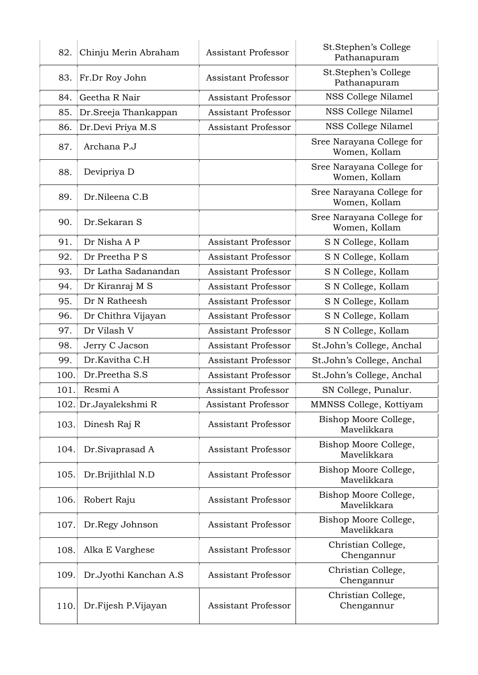| 82.  | Chinju Merin Abraham  | <b>Assistant Professor</b> | St.Stephen's College<br>Pathanapuram       |
|------|-----------------------|----------------------------|--------------------------------------------|
| 83.  | Fr.Dr Roy John        | <b>Assistant Professor</b> | St.Stephen's College<br>Pathanapuram       |
| 84.  | Geetha R Nair         | <b>Assistant Professor</b> | NSS College Nilamel                        |
| 85.  | Dr.Sreeja Thankappan  | <b>Assistant Professor</b> | NSS College Nilamel                        |
| 86.  | Dr.Devi Priya M.S     | <b>Assistant Professor</b> | NSS College Nilamel                        |
| 87.  | Archana P.J           |                            | Sree Narayana College for<br>Women, Kollam |
| 88.  | Devipriya D           |                            | Sree Narayana College for<br>Women, Kollam |
| 89.  | Dr.Nileena C.B        |                            | Sree Narayana College for<br>Women, Kollam |
| 90.  | Dr.Sekaran S          |                            | Sree Narayana College for<br>Women, Kollam |
| 91.  | Dr Nisha A P          | <b>Assistant Professor</b> | S N College, Kollam                        |
| 92.  | Dr Preetha P S        | <b>Assistant Professor</b> | S N College, Kollam                        |
| 93.  | Dr Latha Sadanandan   | Assistant Professor        | S N College, Kollam                        |
| 94.  | Dr Kiranraj M S       | <b>Assistant Professor</b> | S N College, Kollam                        |
| 95.  | Dr N Ratheesh         | <b>Assistant Professor</b> | S N College, Kollam                        |
| 96.  | Dr Chithra Vijayan    | <b>Assistant Professor</b> | S N College, Kollam                        |
| 97.  | Dr Vilash V           | <b>Assistant Professor</b> | S N College, Kollam                        |
| 98.  | Jerry C Jacson        | <b>Assistant Professor</b> | St.John's College, Anchal                  |
| 99.  | Dr.Kavitha C.H        | <b>Assistant Professor</b> | St.John's College, Anchal                  |
| 100. | Dr.Preetha S.S        | <b>Assistant Professor</b> | St.John's College, Anchal                  |
| 101. | Resmi A               | <b>Assistant Professor</b> | SN College, Punalur.                       |
|      | 102. Dr.Jayalekshmi R | Assistant Professor        | MMNSS College, Kottiyam                    |
| 103. | Dinesh Raj R          | <b>Assistant Professor</b> | Bishop Moore College,<br>Mavelikkara       |
| 104. | Dr.Sivaprasad A       | <b>Assistant Professor</b> | Bishop Moore College,<br>Mavelikkara       |
| 105. | Dr.Brijithlal N.D     | <b>Assistant Professor</b> | Bishop Moore College,<br>Mavelikkara       |
| 106. | Robert Raju           | <b>Assistant Professor</b> | Bishop Moore College,<br>Mavelikkara       |
| 107. | Dr.Regy Johnson       | <b>Assistant Professor</b> | Bishop Moore College,<br>Mavelikkara       |
| 108. | Alka E Varghese       | <b>Assistant Professor</b> | Christian College,<br>Chengannur           |
| 109. | Dr.Jyothi Kanchan A.S | <b>Assistant Professor</b> | Christian College,<br>Chengannur           |
| 110. | Dr.Fijesh P.Vijayan   | Assistant Professor        | Christian College,<br>Chengannur           |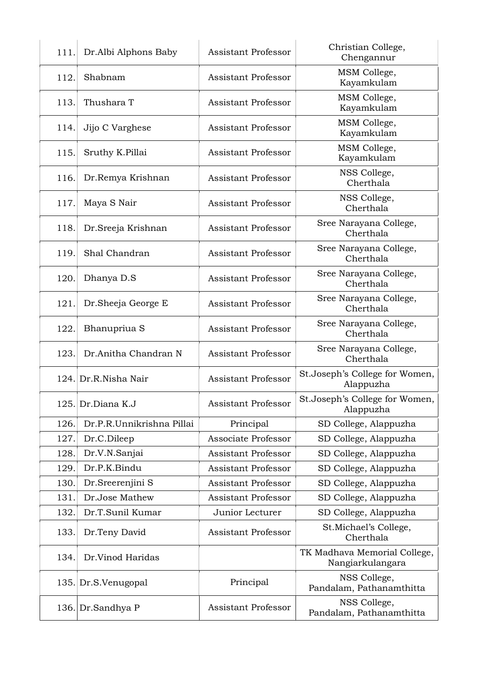| 111. | Dr.Albi Alphons Baby      | <b>Assistant Professor</b> | Christian College,<br>Chengannur                 |
|------|---------------------------|----------------------------|--------------------------------------------------|
| 112. | Shabnam                   | <b>Assistant Professor</b> | MSM College,<br>Kayamkulam                       |
| 113. | Thushara T                | <b>Assistant Professor</b> | MSM College,<br>Kayamkulam                       |
| 114. | Jijo C Varghese           | <b>Assistant Professor</b> | MSM College,<br>Kayamkulam                       |
| 115. | Sruthy K.Pillai           | <b>Assistant Professor</b> | MSM College,<br>Kayamkulam                       |
| 116. | Dr.Remya Krishnan         | <b>Assistant Professor</b> | NSS College,<br>Cherthala                        |
| 117. | Maya S Nair               | <b>Assistant Professor</b> | NSS College,<br>Cherthala                        |
| 118. | Dr. Sreeja Krishnan       | <b>Assistant Professor</b> | Sree Narayana College,<br>Cherthala              |
| 119. | Shal Chandran             | <b>Assistant Professor</b> | Sree Narayana College,<br>Cherthala              |
| 120. | Dhanya D.S                | <b>Assistant Professor</b> | Sree Narayana College,<br>Cherthala              |
| 121. | Dr. Sheeja George E       | <b>Assistant Professor</b> | Sree Narayana College,<br>Cherthala              |
| 122. | Bhanupriua S              | <b>Assistant Professor</b> | Sree Narayana College,<br>Cherthala              |
| 123. | Dr.Anitha Chandran N      | <b>Assistant Professor</b> | Sree Narayana College,<br>Cherthala              |
|      | 124. Dr.R.Nisha Nair      | <b>Assistant Professor</b> | St.Joseph's College for Women,<br>Alappuzha      |
|      | 125. Dr.Diana K.J         | <b>Assistant Professor</b> | St.Joseph's College for Women,<br>Alappuzha      |
| 126. | Dr.P.R.Unnikrishna Pillai | Principal                  | SD College, Alappuzha                            |
| 127. | Dr.C.Dileep               | Associate Professor        | SD College, Alappuzha                            |
| 128. | Dr.V.N.Sanjai             | <b>Assistant Professor</b> | SD College, Alappuzha                            |
| 129. | Dr.P.K.Bindu              | <b>Assistant Professor</b> | SD College, Alappuzha                            |
| 130. | Dr.Sreerenjini S          | <b>Assistant Professor</b> | SD College, Alappuzha                            |
| 131. | Dr.Jose Mathew            | <b>Assistant Professor</b> | SD College, Alappuzha                            |
| 132. | Dr.T.Sunil Kumar          | Junior Lecturer            | SD College, Alappuzha                            |
| 133. | Dr.Teny David             | <b>Assistant Professor</b> | St.Michael's College,<br>Cherthala               |
| 134. | Dr.Vinod Haridas          |                            | TK Madhava Memorial College,<br>Nangiarkulangara |
|      | 135. Dr.S.Venugopal       | Principal                  | NSS College,<br>Pandalam, Pathanamthitta         |
| 136. | Dr.Sandhya P              | <b>Assistant Professor</b> | NSS College,<br>Pandalam, Pathanamthitta         |